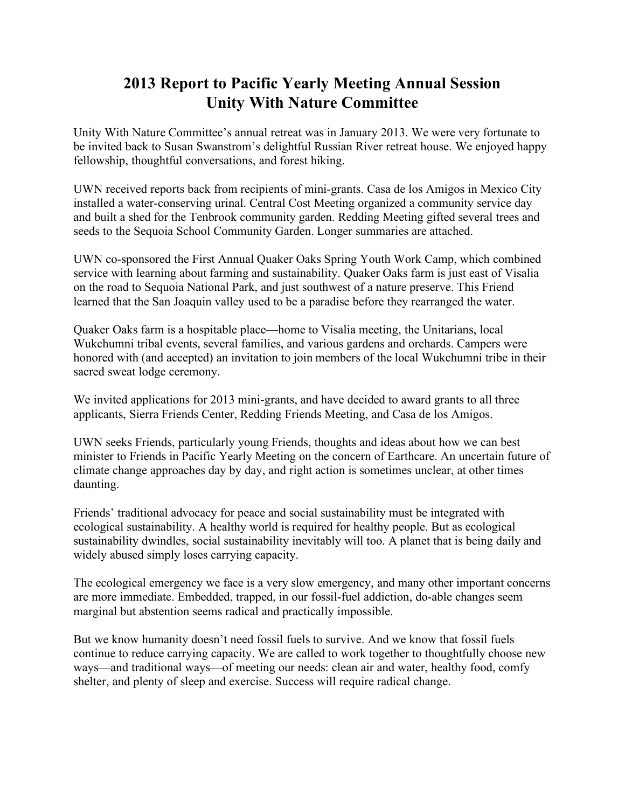# **2013 Report to Pacific Yearly Meeting Annual Session Unity With Nature Committee**

Unity With Nature Committee's annual retreat was in January 2013. We were very fortunate to be invited back to Susan Swanstrom's delightful Russian River retreat house. We enjoyed happy fellowship, thoughtful conversations, and forest hiking.

UWN received reports back from recipients of mini-grants. Casa de los Amigos in Mexico City installed a water-conserving urinal. Central Cost Meeting organized a community service day and built a shed for the Tenbrook community garden. Redding Meeting gifted several trees and seeds to the Sequoia School Community Garden. Longer summaries are attached.

UWN co-sponsored the First Annual Quaker Oaks Spring Youth Work Camp, which combined service with learning about farming and sustainability. Quaker Oaks farm is just east of Visalia on the road to Sequoia National Park, and just southwest of a nature preserve. This Friend learned that the San Joaquin valley used to be a paradise before they rearranged the water.

Quaker Oaks farm is a hospitable place—home to Visalia meeting, the Unitarians, local Wukchumni tribal events, several families, and various gardens and orchards. Campers were honored with (and accepted) an invitation to join members of the local Wukchumni tribe in their sacred sweat lodge ceremony.

We invited applications for 2013 mini-grants, and have decided to award grants to all three applicants, Sierra Friends Center, Redding Friends Meeting, and Casa de los Amigos.

UWN seeks Friends, particularly young Friends, thoughts and ideas about how we can best minister to Friends in Pacific Yearly Meeting on the concern of Earthcare. An uncertain future of climate change approaches day by day, and right action is sometimes unclear, at other times daunting.

Friends' traditional advocacy for peace and social sustainability must be integrated with ecological sustainability. A healthy world is required for healthy people. But as ecological sustainability dwindles, social sustainability inevitably will too. A planet that is being daily and widely abused simply loses carrying capacity.

The ecological emergency we face is a very slow emergency, and many other important concerns are more immediate. Embedded, trapped, in our fossil-fuel addiction, do-able changes seem marginal but abstention seems radical and practically impossible.

But we know humanity doesn't need fossil fuels to survive. And we know that fossil fuels continue to reduce carrying capacity. We are called to work together to thoughtfully choose new ways—and traditional ways—of meeting our needs: clean air and water, healthy food, comfy shelter, and plenty of sleep and exercise. Success will require radical change.